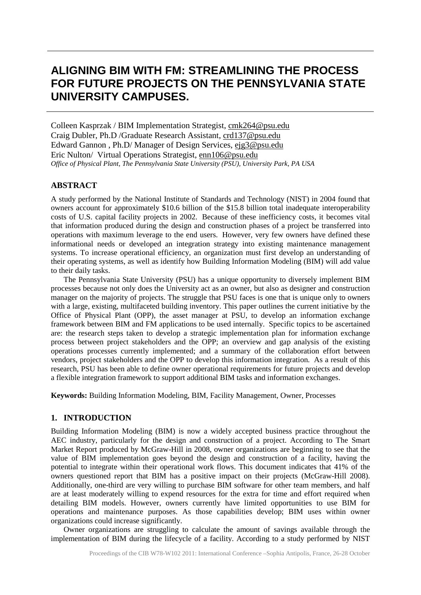# **ALIGNING BIM WITH FM: STREAMLINING THE PROCESS FOR FUTURE PROJECTS ON THE PENNSYLVANIA STATE UNIVERSITY CAMPUSES.**

Colleen Kasprzak / BIM Implementation Strategist, cmk264@psu.edu Craig Dubler, Ph.D /Graduate Research Assistant, crd137@psu.edu Edward Gannon , Ph.D/ Manager of Design Services, ejg3@psu.edu Eric Nulton/ Virtual Operations Strategist, enn106@psu.edu *Office of Physical Plant, The Pennsylvania State University (PSU), University Park, PA USA*

### **ABSTRACT**

A study performed by the National Institute of Standards and Technology (NIST) in 2004 found that owners account for approximately \$10.6 billion of the \$15.8 billion total inadequate interoperability costs of U.S. capital facility projects in 2002. Because of these inefficiency costs, it becomes vital that information produced during the design and construction phases of a project be transferred into operations with maximum leverage to the end users. However, very few owners have defined these informational needs or developed an integration strategy into existing maintenance management systems. To increase operational efficiency, an organization must first develop an understanding of their operating systems, as well as identify how Building Information Modeling (BIM) will add value to their daily tasks.

The Pennsylvania State University (PSU) has a unique opportunity to diversely implement BIM processes because not only does the University act as an owner, but also as designer and construction manager on the majority of projects. The struggle that PSU faces is one that is unique only to owners with a large, existing, multifaceted building inventory. This paper outlines the current initiative by the Office of Physical Plant (OPP), the asset manager at PSU, to develop an information exchange framework between BIM and FM applications to be used internally. Specific topics to be ascertained are: the research steps taken to develop a strategic implementation plan for information exchange process between project stakeholders and the OPP; an overview and gap analysis of the existing operations processes currently implemented; and a summary of the collaboration effort between vendors, project stakeholders and the OPP to develop this information integration. As a result of this research, PSU has been able to define owner operational requirements for future projects and develop a flexible integration framework to support additional BIM tasks and information exchanges.

**Keywords:** Building Information Modeling, BIM, Facility Management, Owner, Processes

#### **1. INTRODUCTION**

Building Information Modeling (BIM) is now a widely accepted business practice throughout the AEC industry, particularly for the design and construction of a project. According to The Smart Market Report produced by McGraw-Hill in 2008, owner organizations are beginning to see that the value of BIM implementation goes beyond the design and construction of a facility, having the potential to integrate within their operational work flows. This document indicates that 41% of the owners questioned report that BIM has a positive impact on their projects (McGraw-Hill 2008). Additionally, one-third are very willing to purchase BIM software for other team members, and half are at least moderately willing to expend resources for the extra for time and effort required when detailing BIM models. However, owners currently have limited opportunities to use BIM for operations and maintenance purposes. As those capabilities develop; BIM uses within owner organizations could increase significantly.

Owner organizations are struggling to calculate the amount of savings available through the implementation of BIM during the lifecycle of a facility. According to a study performed by NIST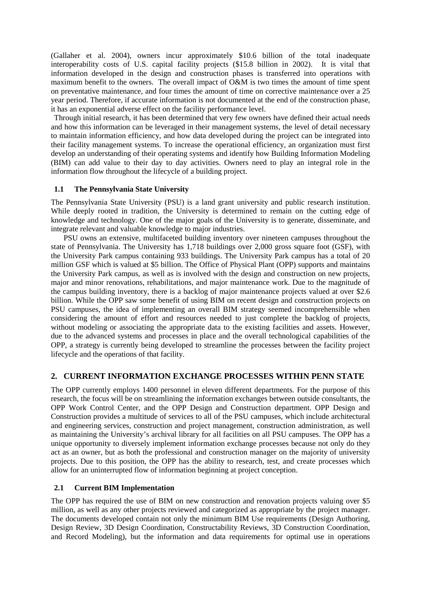(Gallaher et al. 2004), owners incur approximately \$10.6 billion of the total inadequate interoperability costs of U.S. capital facility projects (\$15.8 billion in 2002). It is vital that information developed in the design and construction phases is transferred into operations with maximum benefit to the owners. The overall impact of O&M is two times the amount of time spent on preventative maintenance, and four times the amount of time on corrective maintenance over a 25 year period. Therefore, if accurate information is not documented at the end of the construction phase, it has an exponential adverse effect on the facility performance level.

Through initial research, it has been determined that very few owners have defined their actual needs and how this information can be leveraged in their management systems, the level of detail necessary to maintain information efficiency, and how data developed during the project can be integrated into their facility management systems. To increase the operational efficiency, an organization must first develop an understanding of their operating systems and identify how Building Information Modeling (BIM) can add value to their day to day activities. Owners need to play an integral role in the information flow throughout the lifecycle of a building project.

#### **1.1 The Pennsylvania State University**

The Pennsylvania State University (PSU) is a land grant university and public research institution. While deeply rooted in tradition, the University is determined to remain on the cutting edge of knowledge and technology. One of the major goals of the University is to generate, disseminate, and integrate relevant and valuable knowledge to major industries.

PSU owns an extensive, multifaceted building inventory over nineteen campuses throughout the state of Pennsylvania. The University has 1,718 buildings over 2,000 gross square foot (GSF), with the University Park campus containing 933 buildings. The University Park campus has a total of 20 million GSF which is valued at \$5 billion. The Office of Physical Plant (OPP) supports and maintains the University Park campus, as well as is involved with the design and construction on new projects, major and minor renovations, rehabilitations, and major maintenance work. Due to the magnitude of the campus building inventory, there is a backlog of major maintenance projects valued at over \$2.6 billion. While the OPP saw some benefit of using BIM on recent design and construction projects on PSU campuses, the idea of implementing an overall BIM strategy seemed incomprehensible when considering the amount of effort and resources needed to just complete the backlog of projects, without modeling or associating the appropriate data to the existing facilities and assets. However, due to the advanced systems and processes in place and the overall technological capabilities of the OPP, a strategy is currently being developed to streamline the processes between the facility project lifecycle and the operations of that facility.

## **2. CURRENT INFORMATION EXCHANGE PROCESSES WITHIN PENN STATE**

The OPP currently employs 1400 personnel in eleven different departments. For the purpose of this research, the focus will be on streamlining the information exchanges between outside consultants, the OPP Work Control Center, and the OPP Design and Construction department. OPP Design and Construction provides a multitude of services to all of the PSU campuses, which include architectural and engineering services, construction and project management, construction administration, as well as maintaining the University's archival library for all facilities on all PSU campuses. The OPP has a unique opportunity to diversely implement information exchange processes because not only do they act as an owner, but as both the professional and construction manager on the majority of university projects. Due to this position, the OPP has the ability to research, test, and create processes which allow for an uninterrupted flow of information beginning at project conception.

#### **2.1 Current BIM Implementation**

The OPP has required the use of BIM on new construction and renovation projects valuing over \$5 million, as well as any other projects reviewed and categorized as appropriate by the project manager. The documents developed contain not only the minimum BIM Use requirements (Design Authoring, Design Review, 3D Design Coordination, Constructability Reviews, 3D Construction Coordination, and Record Modeling), but the information and data requirements for optimal use in operations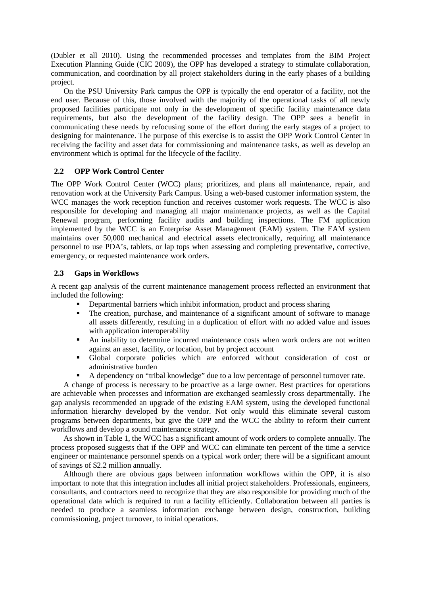(Dubler et all 2010). Using the recommended processes and templates from the BIM Project Execution Planning Guide (CIC 2009), the OPP has developed a strategy to stimulate collaboration, communication, and coordination by all project stakeholders during in the early phases of a building project.

On the PSU University Park campus the OPP is typically the end operator of a facility, not the end user. Because of this, those involved with the majority of the operational tasks of all newly proposed facilities participate not only in the development of specific facility maintenance data requirements, but also the development of the facility design. The OPP sees a benefit in communicating these needs by refocusing some of the effort during the early stages of a project to designing for maintenance. The purpose of this exercise is to assist the OPP Work Control Center in receiving the facility and asset data for commissioning and maintenance tasks, as well as develop an environment which is optimal for the lifecycle of the facility.

#### **2.2 OPP Work Control Center**

The OPP Work Control Center (WCC) plans; prioritizes, and plans all maintenance, repair, and renovation work at the University Park Campus. Using a web-based customer information system, the WCC manages the work reception function and receives customer work requests. The WCC is also responsible for developing and managing all major maintenance projects, as well as the Capital Renewal program, performing facility audits and building inspections. The FM application implemented by the WCC is an Enterprise Asset Management (EAM) system. The EAM system maintains over 50,000 mechanical and electrical assets electronically, requiring all maintenance personnel to use PDA's, tablets, or lap tops when assessing and completing preventative, corrective, emergency, or requested maintenance work orders.

#### **2.3 Gaps in Workflows**

A recent gap analysis of the current maintenance management process reflected an environment that included the following:

- **Departmental barriers which inhibit information, product and process sharing**<br>The creation, purchase, and maintenance of a significant amount of software
- The creation, purchase, and maintenance of a significant amount of software to manage all assets differently, resulting in a duplication of effort with no added value and issues with application interoperability
- An inability to determine incurred maintenance costs when work orders are not written against an asset, facility, or location, but by project account
- Global corporate policies which are enforced without consideration of cost or administrative burden
- A dependency on "tribal knowledge" due to a low percentage of personnel turnover rate.

A change of process is necessary to be proactive as a large owner. Best practices for operations are achievable when processes and information are exchanged seamlessly cross departmentally. The gap analysis recommended an upgrade of the existing EAM system, using the developed functional information hierarchy developed by the vendor. Not only would this eliminate several custom programs between departments, but give the OPP and the WCC the ability to reform their current workflows and develop a sound maintenance strategy.

As shown in Table 1, the WCC has a significant amount of work orders to complete annually. The process proposed suggests that if the OPP and WCC can eliminate ten percent of the time a service engineer or maintenance personnel spends on a typical work order; there will be a significant amount of savings of \$2.2 million annually.

Although there are obvious gaps between information workflows within the OPP, it is also important to note that this integration includes all initial project stakeholders. Professionals, engineers, consultants, and contractors need to recognize that they are also responsible for providing much of the operational data which is required to run a facility efficiently. Collaboration between all parties is needed to produce a seamless information exchange between design, construction, building commissioning, project turnover, to initial operations.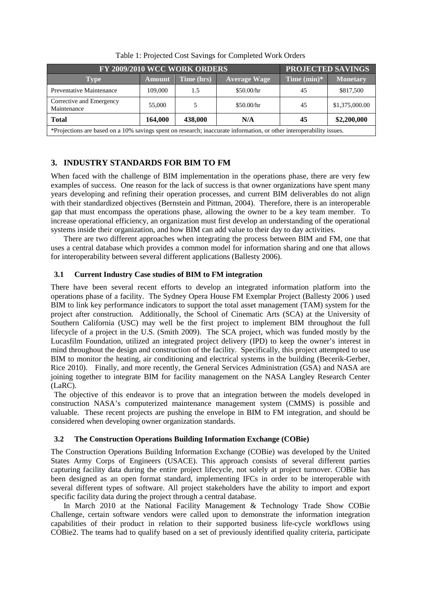| FY 2009/2010 WCC WORK ORDERS                                                                                         |               |            |                     | <b>PROJECTED SAVINGS</b> |                 |
|----------------------------------------------------------------------------------------------------------------------|---------------|------------|---------------------|--------------------------|-----------------|
| Type                                                                                                                 | <b>Amount</b> | Time (hrs) | <b>Average Wage</b> | Time $(min)*$            | <b>Monetary</b> |
| Preventative Maintenance                                                                                             | 109,000       | 1.5        | \$50.00/hr          | 45                       | \$817,500       |
| Corrective and Emergency<br>Maintenance                                                                              | 55,000        | 5          | \$50.00/hr          | 45                       | \$1,375,000.00  |
| <b>Total</b>                                                                                                         | 164,000       | 438,000    | N/A                 | 45                       | \$2,200,000     |
| *Projections are based on a 10% savings spent on research; inaccurate information, or other interoperability issues. |               |            |                     |                          |                 |

Table 1: Projected Cost Savings for Completed Work Orders

# **3. INDUSTRY STANDARDS FOR BIM TO FM**

When faced with the challenge of BIM implementation in the operations phase, there are very few examples of success. One reason for the lack of success is that owner organizations have spent many years developing and refining their operation processes, and current BIM deliverables do not align with their standardized objectives (Bernstein and Pittman, 2004). Therefore, there is an interoperable gap that must encompass the operations phase, allowing the owner to be a key team member. To increase operational efficiency, an organization must first develop an understanding of the operational systems inside their organization, and how BIM can add value to their day to day activities.

There are two different approaches when integrating the process between BIM and FM, one that uses a central database which provides a common model for information sharing and one that allows for interoperability between several different applications (Ballesty 2006).

## **3.1 Current Industry Case studies of BIM to FM integration**

There have been several recent efforts to develop an integrated information platform into the operations phase of a facility. The Sydney Opera House FM Exemplar Project (Ballesty 2006 ) used BIM to link key performance indicators to support the total asset management (TAM) system for the project after construction. Additionally, the School of Cinematic Arts (SCA) at the University of Southern California (USC) may well be the first project to implement BIM throughout the full lifecycle of a project in the U.S. (Smith 2009). The SCA project, which was funded mostly by the Lucasfilm Foundation, utilized an integrated project delivery (IPD) to keep the owner's interest in mind throughout the design and construction of the facility. Specifically, this project attempted to use BIM to monitor the heating, air conditioning and electrical systems in the building (Becerik-Gerber, Rice 2010). Finally, and more recently, the General Services Administration (GSA) and NASA are joining together to integrate BIM for facility management on the NASA Langley Research Center (LaRC).

The objective of this endeavor is to prove that an integration between the models developed in construction NASA's computerized maintenance management system (CMMS) is possible and valuable. These recent projects are pushing the envelope in BIM to FM integration, and should be considered when developing owner organization standards.

# **3.2 The Construction Operations Building Information Exchange (COBie)**

The Construction Operations Building Information Exchange (COBie) was developed by the United States Army Corps of Engineers (USACE). This approach consists of several different parties capturing facility data during the entire project lifecycle, not solely at project turnover. COBie has been designed as an open format standard, implementing IFCs in order to be interoperable with several different types of software. All project stakeholders have the ability to import and export specific facility data during the project through a central database.

In March 2010 at the National Facility Management & Technology Trade Show COBie Challenge, certain software vendors were called upon to demonstrate the information integration capabilities of their product in relation to their supported business life-cycle workflows using COBie2. The teams had to qualify based on a set of previously identified quality criteria, participate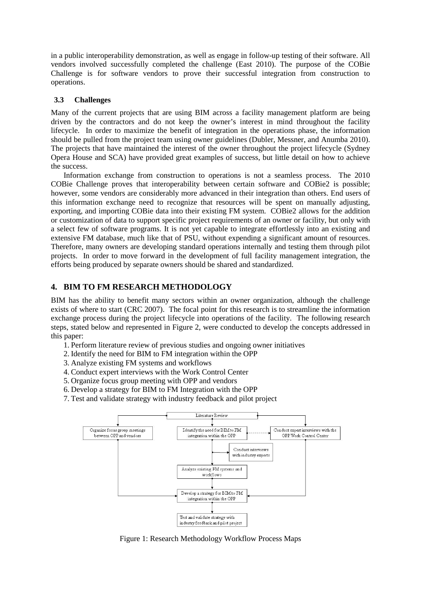in a public interoperability demonstration, as well as engage in follow-up testing of their software. All vendors involved successfully completed the challenge (East 2010). The purpose of the COBie Challenge is for software vendors to prove their successful integration from construction to operations.

## **3.3 Challenges**

Many of the current projects that are using BIM across a facility management platform are being driven by the contractors and do not keep the owner's interest in mind throughout the facility lifecycle. In order to maximize the benefit of integration in the operations phase, the information should be pulled from the project team using owner guidelines (Dubler, Messner, and Anumba 2010). The projects that have maintained the interest of the owner throughout the project lifecycle (Sydney Opera House and SCA) have provided great examples of success, but little detail on how to achieve the success.

Information exchange from construction to operations is not a seamless process. The 2010 COBie Challenge proves that interoperability between certain software and COBie2 is possible; however, some vendors are considerably more advanced in their integration than others. End users of this information exchange need to recognize that resources will be spent on manually adjusting, exporting, and importing COBie data into their existing FM system. COBie2 allows for the addition or customization of data to support specific project requirements of an owner or facility, but only with a select few of software programs. It is not yet capable to integrate effortlessly into an existing and extensive FM database, much like that of PSU, without expending a significant amount of resources. Therefore, many owners are developing standard operations internally and testing them through pilot projects. In order to move forward in the development of full facility management integration, the efforts being produced by separate owners should be shared and standardized.

## **4. BIM TO FM RESEARCH METHODOLOGY**

BIM has the ability to benefit many sectors within an owner organization, although the challenge exists of where to start (CRC 2007). The focal point for this research is to streamline the information exchange process during the project lifecycle into operations of the facility. The following research steps, stated below and represented in Figure 2, were conducted to develop the concepts addressed in this paper:

- 1. Perform literature review of previous studies and ongoing owner initiatives
- 2. Identify the need for BIM to FM integration within the OPP
- 3. Analyze existing FM systems and workflows
- 4. Conduct expert interviews with the Work Control Center
- 5. Organize focus group meeting with OPP and vendors
- 6. Develop a strategy for BIM to FM Integration with the OPP
- 7. Test and validate strategy with industry feedback and pilot project



Figure 1: Research Methodology Workflow Process Maps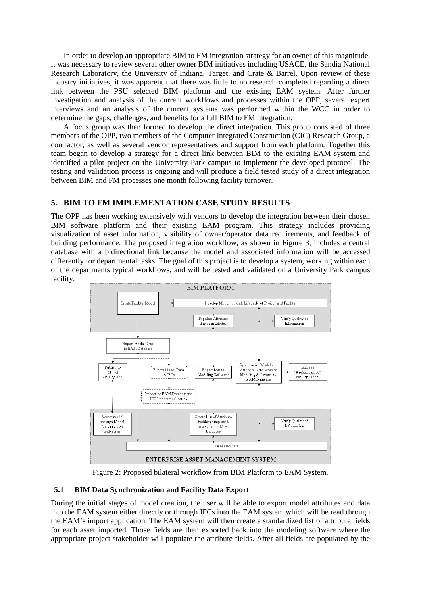In order to develop an appropriate BIM to FM integration strategy for an owner of this magnitude, it was necessary to review several other owner BIM initiatives including USACE, the Sandia National Research Laboratory, the University of Indiana, Target, and Crate & Barrel. Upon review of these industry initiatives, it was apparent that there was little to no research completed regarding a direct link between the PSU selected BIM platform and the existing EAM system. After further investigation and analysis of the current workflows and processes within the OPP, several expert interviews and an analysis of the current systems was performed within the WCC in order to determine the gaps, challenges, and benefits for a full BIM to FM integration.

A focus group was then formed to develop the direct integration. This group consisted of three members of the OPP, two members of the Computer Integrated Construction (CIC) Research Group, a contractor, as well as several vendor representatives and support from each platform. Together this team began to develop a strategy for a direct link between BIM to the existing EAM system and identified a pilot project on the University Park campus to implement the developed protocol. The testing and validation process is ongoing and will produce a field tested study of a direct integration between BIM and FM processes one month following facility turnover.

#### **5. BIM TO FM IMPLEMENTATION CASE STUDY RESULTS**

The OPP has been working extensively with vendors to develop the integration between their chosen BIM software platform and their existing EAM program. This strategy includes providing visualization of asset information, visibility of owner/operator data requirements, and feedback of building performance. The proposed integration workflow, as shown in Figure 3, includes a central database with a bidirectional link because the model and associated information will be accessed differently for departmental tasks. The goal of this project is to develop a system, working within each of the departments typical workflows, and will be tested and validated on a University Park campus facility.



Figure 2: Proposed bilateral workflow from BIM Platform to EAM System.

#### **5.1 BIM Data Synchronization and Facility Data Export**

During the initial stages of model creation, the user will be able to export model attributes and data into the EAM system either directly or through IFCs into the EAM system which will be read through the EAM's import application. The EAM system will then create a standardized list of attribute fields for each asset imported. Those fields are then exported back into the modeling software where the appropriate project stakeholder will populate the attribute fields. After all fields are populated by the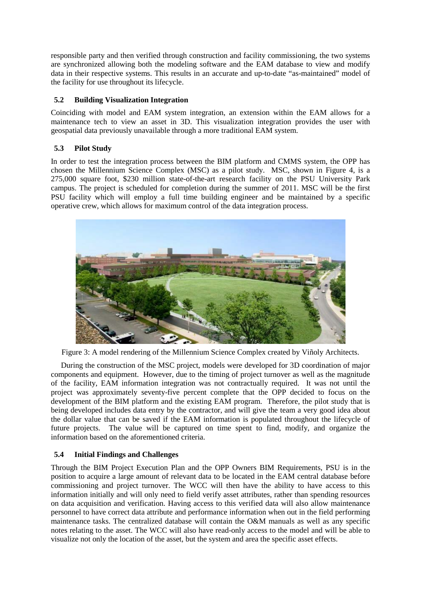responsible party and then verified through construction and facility commissioning, the two systems are synchronized allowing both the modeling software and the EAM database to view and modify data in their respective systems. This results in an accurate and up-to-date "as-maintained" model of the facility for use throughout its lifecycle.

## **5.2 Building Visualization Integration**

Coinciding with model and EAM system integration, an extension within the EAM allows for a maintenance tech to view an asset in 3D. This visualization integration provides the user with geospatial data previously unavailable through a more traditional EAM system.

# **5.3 Pilot Study**

In order to test the integration process between the BIM platform and CMMS system, the OPP has chosen the Millennium Science Complex (MSC) as a pilot study. MSC, shown in Figure 4, is a 275,000 square foot, \$230 million state-of-the-art research facility on the PSU University Park campus. The project is scheduled for completion during the summer of 2011. MSC will be the first PSU facility which will employ a full time building engineer and be maintained by a specific operative crew, which allows for maximum control of the data integration process.



Figure 3: A model rendering of the Millennium Science Complex created by Viñoly Architects.

During the construction of the MSC project, models were developed for 3D coordination of major components and equipment. However, due to the timing of project turnover as well as the magnitude of the facility, EAM information integration was not contractually required. It was not until the project was approximately seventy-five percent complete that the OPP decided to focus on the development of the BIM platform and the existing EAM program. Therefore, the pilot study that is being developed includes data entry by the contractor, and will give the team a very good idea about the dollar value that can be saved if the EAM information is populated throughout the lifecycle of future projects. The value will be captured on time spent to find, modify, and organize the information based on the aforementioned criteria.

# **5.4 Initial Findings and Challenges**

Through the BIM Project Execution Plan and the OPP Owners BIM Requirements, PSU is in the position to acquire a large amount of relevant data to be located in the EAM central database before commissioning and project turnover. The WCC will then have the ability to have access to this information initially and will only need to field verify asset attributes, rather than spending resources on data acquisition and verification. Having access to this verified data will also allow maintenance personnel to have correct data attribute and performance information when out in the field performing maintenance tasks. The centralized database will contain the O&M manuals as well as any specific notes relating to the asset. The WCC will also have read-only access to the model and will be able to visualize not only the location of the asset, but the system and area the specific asset effects.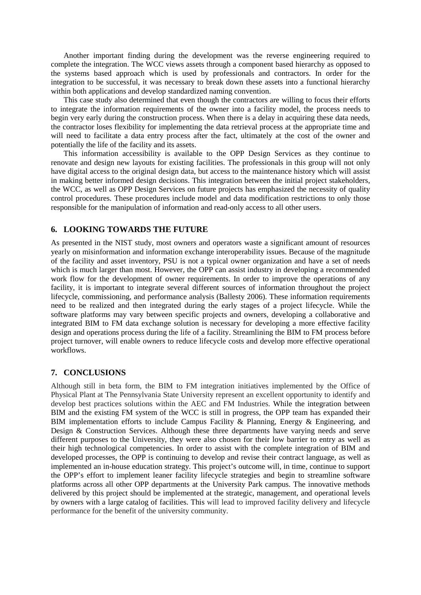Another important finding during the development was the reverse engineering required to complete the integration. The WCC views assets through a component based hierarchy as opposed to the systems based approach which is used by professionals and contractors. In order for the integration to be successful, it was necessary to break down these assets into a functional hierarchy within both applications and develop standardized naming convention.

This case study also determined that even though the contractors are willing to focus their efforts to integrate the information requirements of the owner into a facility model, the process needs to begin very early during the construction process. When there is a delay in acquiring these data needs, the contractor loses flexibility for implementing the data retrieval process at the appropriate time and will need to facilitate a data entry process after the fact, ultimately at the cost of the owner and potentially the life of the facility and its assets.

This information accessibility is available to the OPP Design Services as they continue to renovate and design new layouts for existing facilities. The professionals in this group will not only have digital access to the original design data, but access to the maintenance history which will assist in making better informed design decisions. This integration between the initial project stakeholders, the WCC, as well as OPP Design Services on future projects has emphasized the necessity of quality control procedures. These procedures include model and data modification restrictions to only those responsible for the manipulation of information and read-only access to all other users.

## **6. LOOKING TOWARDS THE FUTURE**

As presented in the NIST study, most owners and operators waste a significant amount of resources yearly on misinformation and information exchange interoperability issues. Because of the magnitude of the facility and asset inventory, PSU is not a typical owner organization and have a set of needs which is much larger than most. However, the OPP can assist industry in developing a recommended work flow for the development of owner requirements. In order to improve the operations of any facility, it is important to integrate several different sources of information throughout the project lifecycle, commissioning, and performance analysis (Ballesty 2006). These information requirements need to be realized and then integrated during the early stages of a project lifecycle. While the software platforms may vary between specific projects and owners, developing a collaborative and integrated BIM to FM data exchange solution is necessary for developing a more effective facility design and operations process during the life of a facility. Streamlining the BIM to FM process before project turnover, will enable owners to reduce lifecycle costs and develop more effective operational workflows.

#### **7. CONCLUSIONS**

Although still in beta form, the BIM to FM integration initiatives implemented by the Office of Physical Plant at The Pennsylvania State University represent an excellent opportunity to identify and develop best practices solutions within the AEC and FM Industries. While the integration between BIM and the existing FM system of the WCC is still in progress, the OPP team has expanded their BIM implementation efforts to include Campus Facility & Planning, Energy & Engineering, and Design & Construction Services. Although these three departments have varying needs and serve different purposes to the University, they were also chosen for their low barrier to entry as well as their high technological competencies. In order to assist with the complete integration of BIM and developed processes, the OPP is continuing to develop and revise their contract language, as well as implemented an in-house education strategy. This project's outcome will, in time, continue to support the OPP's effort to implement leaner facility lifecycle strategies and begin to streamline software platforms across all other OPP departments at the University Park campus. The innovative methods delivered by this project should be implemented at the strategic, management, and operational levels by owners with a large catalog of facilities. This will lead to improved facility delivery and lifecycle performance for the benefit of the university community.